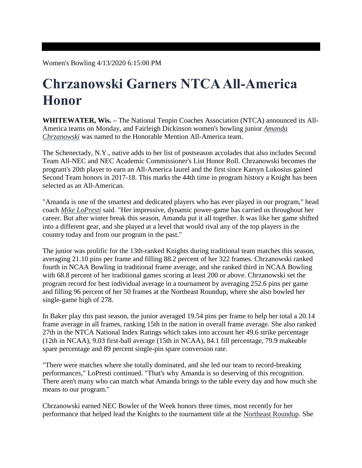Women's Bowling 4/13/2020 6:15:00 PM

## **Chrzanowski Garners NTCA All-America Honor**

**WHITEWATER, Wis. –** The National Tenpin Coaches Association (NTCA) announced its All-America teams on Monday, and Fairleigh Dickinson women's bowling junior *[Amanda](https://fduknights.com/roster.aspx?rp_id=5385)  [Chrzanowski](https://fduknights.com/roster.aspx?rp_id=5385)* was named to the Honorable Mention All-America team.

The Schenectady, N.Y., native adds to her list of postseason accolades that also includes Second Team All-NEC and NEC Academic Commissioner's List Honor Roll. Chrzanowski becomes the program's 20th player to earn an All-America laurel and the first since Karsyn Lukosius gained Second Team honors in 2017-18. This marks the 44th time in program history a Knight has been selected as an All-American.

"Amanda is one of the smartest and dedicated players who has ever played in our program," head coach *[Mike LoPresti](https://fduknights.com/coaches.aspx?rc=1839)* said. "Her impressive, dynamic power-game has carried us throughout her career. But after winter break this season, Amanda put it all together. It was like her game shifted into a different gear, and she played at a level that would rival any of the top players in the country today and from our program in the past."

The junior was prolific for the 13th-ranked Knights during traditional team matches this season, averaging 21.10 pins per frame and filling 88.2 percent of her 322 frames. Chrzanowski ranked fourth in NCAA Bowling in traditional frame average, and she ranked third in NCAA Bowling with 68.8 percent of her traditional games scoring at least 200 or above. Chrzanowski set the program record for best individual average in a tournament by averaging 252.6 pins per game and filling 96 percent of her 50 frames at the Northeast Roundup, where she also bowled her single-game high of 278.

In Baker play this past season, the junior averaged 19.54 pins per frame to help her total a 20.14 frame average in all frames, ranking 15th in the nation in overall frame average. She also ranked 27th in the NTCA National Index Ratings which takes into account her 49.6 strike percentage (12th in NCAA), 9.03 first-ball average (15th in NCAA), 84.1 fill percentage, 79.9 makeable spare percentage and 89 percent single-pin spare conversion rate.

"There were matches where she totally dominated, and she led our team to record-breaking performances," LoPresti continued. "That's why Amanda is so deserving of this recognition. There aren't many who can match what Amanda brings to the table every day and how much she means to our program."

Chrzanowski earned NEC Bowler of the Week honors three times, most recently for her performance that helped lead the Knights to the tournament title at the [Northeast Roundup.](https://fduknights.com/news/2020/3/12/womens-bowling-chrzanowski-and-spring-earn-nec-weekly-honors.aspx) She